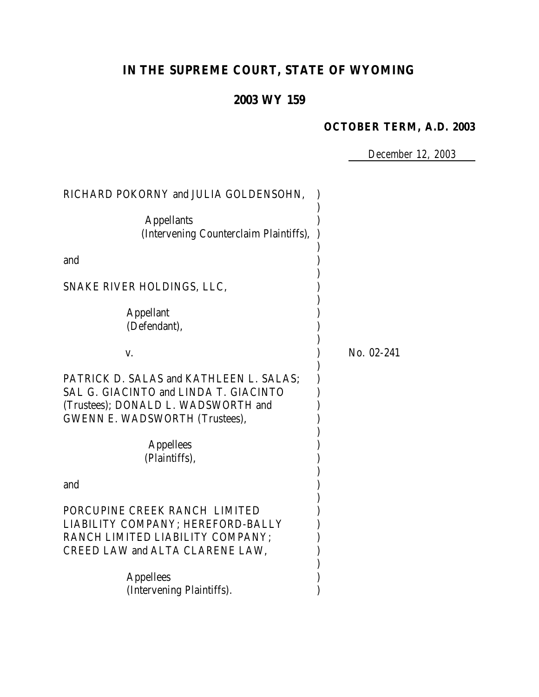# **IN THE SUPREME COURT, STATE OF WYOMING**

## **2003 WY 159**

#### **OCTOBER TERM, A.D. 2003**

*December 12, 2003*

| RICHARD POKORNY and JULIA GOLDENSOHN,                                                                                                                            |            |
|------------------------------------------------------------------------------------------------------------------------------------------------------------------|------------|
| <b>Appellants</b><br>(Intervening Counterclaim Plaintiffs),                                                                                                      |            |
| and                                                                                                                                                              |            |
| SNAKE RIVER HOLDINGS, LLC,                                                                                                                                       |            |
| <b>Appellant</b><br>(Defendant),                                                                                                                                 |            |
| V.                                                                                                                                                               | No. 02-241 |
| PATRICK D. SALAS and KATHLEEN L. SALAS;<br>SAL G. GIACINTO and LINDA T. GIACINTO<br>(Trustees); DONALD L. WADSWORTH and<br><b>GWENN E. WADSWORTH (Trustees),</b> |            |
| <b>Appellees</b><br>(Plaintiffs),                                                                                                                                |            |
| and                                                                                                                                                              |            |
| PORCUPINE CREEK RANCH LIMITED<br>LIABILITY COMPANY; HEREFORD-BALLY<br>RANCH LIMITED LIABILITY COMPANY;<br>CREED LAW and ALTA CLARENE LAW,                        |            |
| <b>Appellees</b><br>(Intervening Plaintiffs).                                                                                                                    |            |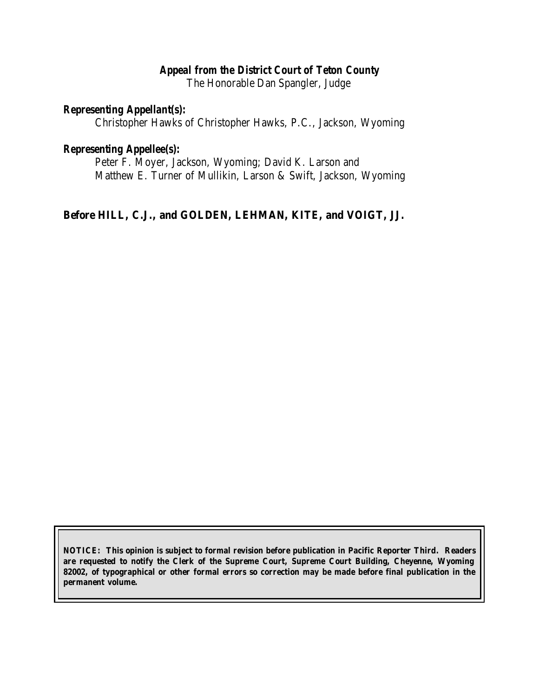### *Appeal from the District Court of Teton County*

The Honorable Dan Spangler, Judge

#### *Representing Appellant(s):*

Christopher Hawks of Christopher Hawks, P.C., Jackson, Wyoming

#### *Representing Appellee(s):*

Peter F. Moyer, Jackson, Wyoming; David K. Larson and Matthew E. Turner of Mullikin, Larson & Swift, Jackson, Wyoming

### **Before HILL, C.J., and GOLDEN, LEHMAN, KITE, and VOIGT, JJ.**

**NOTICE: This opinion is subject to formal revision before publication in Pacific Reporter Third. Readers are requested to notify the Clerk of the Supreme Court, Supreme Court Building, Cheyenne, Wyoming 82002, of typographical or other formal errors so correction may be made before final publication in the permanent volume.**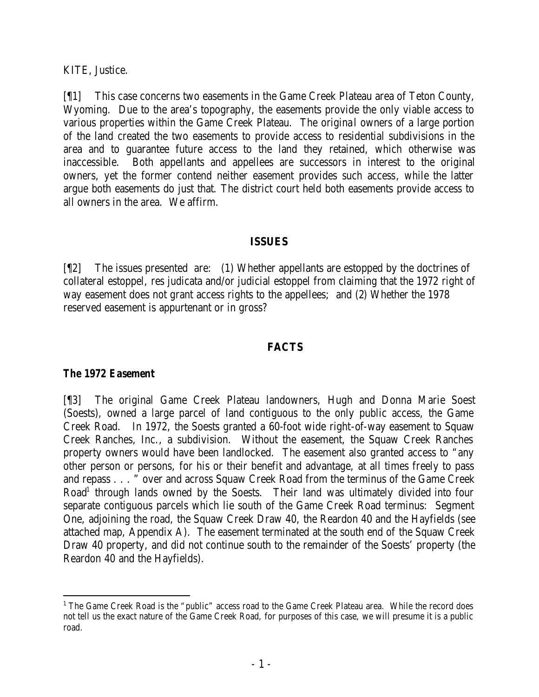KITE, Justice.

[¶1] This case concerns two easements in the Game Creek Plateau area of Teton County, Wyoming. Due to the area's topography, the easements provide the only viable access to various properties within the Game Creek Plateau. The original owners of a large portion of the land created the two easements to provide access to residential subdivisions in the area and to guarantee future access to the land they retained, which otherwise was inaccessible. Both appellants and appellees are successors in interest to the original owners, yet the former contend neither easement provides such access, while the latter argue both easements do just that. The district court held both easements provide access to all owners in the area. We affirm.

#### **ISSUES**

[¶2] The issues presented are: (1) Whether appellants are estopped by the doctrines of collateral estoppel, res judicata and/or judicial estoppel from claiming that the 1972 right of way easement does not grant access rights to the appellees; and (2) Whether the 1978 reserved easement is appurtenant or in gross?

#### **FACTS**

### *The 1972 Easement*

[¶3] The original Game Creek Plateau landowners, Hugh and Donna Marie Soest (Soests), owned a large parcel of land contiguous to the only public access, the Game Creek Road. In 1972, the Soests granted a 60-foot wide right-of-way easement to Squaw Creek Ranches, Inc., a subdivision. Without the easement, the Squaw Creek Ranches property owners would have been landlocked. The easement also granted access to "any other person or persons, for his or their benefit and advantage, at all times freely to pass and repass . . . " over and across Squaw Creek Road from the terminus of the Game Creek Road<sup>1</sup> through lands owned by the Soests. Their land was ultimately divided into four separate contiguous parcels which lie south of the Game Creek Road terminus: Segment One, adjoining the road, the Squaw Creek Draw 40, the Reardon 40 and the Hayfields (see attached map, Appendix A). The easement terminated at the south end of the Squaw Creek Draw 40 property, and did not continue south to the remainder of the Soests' property (the Reardon 40 and the Hayfields).

<sup>&</sup>lt;sup>1</sup> The Game Creek Road is the "public" access road to the Game Creek Plateau area. While the record does not tell us the exact nature of the Game Creek Road, for purposes of this case, we will presume it is a public road.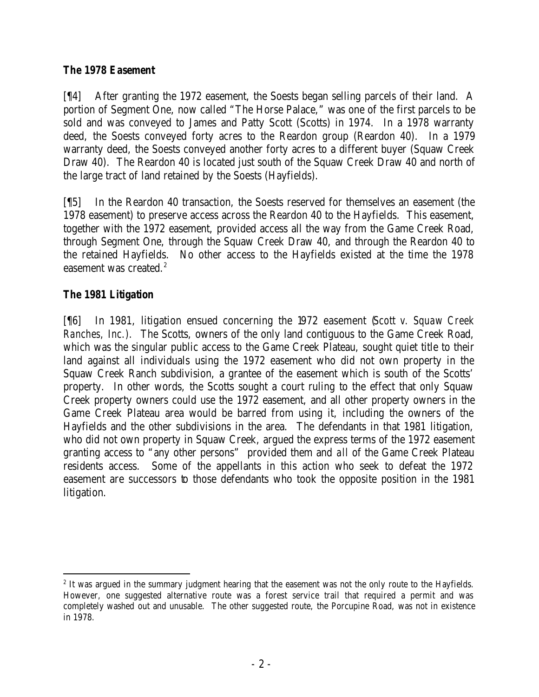### *The 1978 Easement*

[¶4] After granting the 1972 easement, the Soests began selling parcels of their land. A portion of Segment One, now called "The Horse Palace," was one of the first parcels to be sold and was conveyed to James and Patty Scott (Scotts) in 1974. In a 1978 warranty deed, the Soests conveyed forty acres to the Reardon group (Reardon 40). In a 1979 warranty deed, the Soests conveyed another forty acres to a different buyer (Squaw Creek Draw 40). The Reardon 40 is located just south of the Squaw Creek Draw 40 and north of the large tract of land retained by the Soests (Hayfields).

[¶5] In the Reardon 40 transaction, the Soests reserved for themselves an easement (the 1978 easement) to preserve access across the Reardon 40 to the Hayfields. This easement, together with the 1972 easement, provided access all the way from the Game Creek Road, through Segment One, through the Squaw Creek Draw 40, and through the Reardon 40 to the retained Hayfields. No other access to the Hayfields existed at the time the 1978 easement was created.<sup>2</sup>

## *The 1981 Litigation*

[¶6] In 1981, litigation ensued concerning the 1972 easement (*Scott v. Squaw Creek Ranches, Inc.).* The Scotts, owners of the only land contiguous to the Game Creek Road, which was the singular public access to the Game Creek Plateau, sought quiet title to their land against all individuals using the 1972 easement who did not own property in the Squaw Creek Ranch subdivision, a grantee of the easement which is south of the Scotts' property. In other words, the Scotts sought a court ruling to the effect that only Squaw Creek property owners could use the 1972 easement, and all other property owners in the Game Creek Plateau area would be barred from using it, including the owners of the Hayfields and the other subdivisions in the area. The defendants in that 1981 litigation, who did not own property in Squaw Creek, argued the express terms of the 1972 easement granting access to "any other persons" provided them and *all* of the Game Creek Plateau residents access. Some of the appellants in this action who seek to defeat the 1972 easement are successors to those defendants who took the opposite position in the 1981 litigation.

 <sup>2</sup> It was argued in the summary judgment hearing that the easement was not the only route to the Hayfields. However, one suggested alternative route was a forest service trail that required a permit and was completely washed out and unusable. The other suggested route, the Porcupine Road, was not in existence in 1978.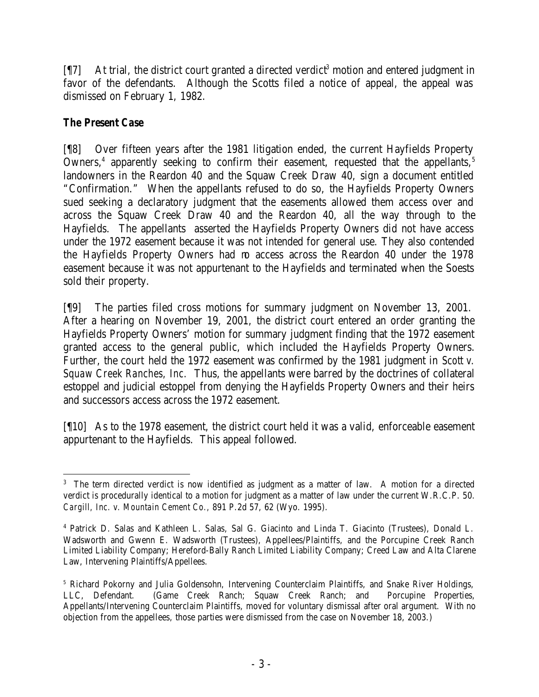$[\![\![7]\!]$  At trial, the district court granted a directed verdict<sup>3</sup> motion and entered judgment in favor of the defendants. Although the Scotts filed a notice of appeal, the appeal was dismissed on February 1, 1982.

## *The Present Case*

[¶8] Over fifteen years after the 1981 litigation ended, the current Hayfields Property Owners,<sup>4</sup> apparently seeking to confirm their easement, requested that the appellants,<sup>5</sup> landowners in the Reardon 40 and the Squaw Creek Draw 40, sign a document entitled "Confirmation." When the appellants refused to do so, the Hayfields Property Owners sued seeking a declaratory judgment that the easements allowed them access over and across the Squaw Creek Draw 40 and the Reardon 40, all the way through to the Hayfields. The appellants asserted the Hayfields Property Owners did not have access under the 1972 easement because it was not intended for general use. They also contended the Hayfields Property Owners had no access across the Reardon 40 under the 1978 easement because it was not appurtenant to the Hayfields and terminated when the Soests sold their property.

[¶9] The parties filed cross motions for summary judgment on November 13, 2001. After a hearing on November 19, 2001, the district court entered an order granting the Hayfields Property Owners' motion for summary judgment finding that the 1972 easement granted access to the general public, which included the Hayfields Property Owners. Further, the court held the 1972 easement was confirmed by the 1981 judgment in *Scott v. Squaw Creek Ranches, Inc.* Thus, the appellants were barred by the doctrines of collateral estoppel and judicial estoppel from denying the Hayfields Property Owners and their heirs and successors access across the 1972 easement.

[¶10] As to the 1978 easement, the district court held it was a valid, enforceable easement appurtenant to the Hayfields. This appeal followed.

 <sup>3</sup> The term directed verdict is now identified as judgment as a matter of law. A motion for a directed verdict is procedurally identical to a motion for judgment as a matter of law under the current W.R.C.P. 50. *Cargill, Inc. v. Mountain Cement Co.,* 891 P.2d 57, 62 (Wyo. 1995).

<sup>4</sup> Patrick D. Salas and Kathleen L. Salas, Sal G. Giacinto and Linda T. Giacinto (Trustees), Donald L. Wadsworth and Gwenn E. Wadsworth (Trustees), Appellees/Plaintiffs, and the Porcupine Creek Ranch Limited Liability Company; Hereford-Bally Ranch Limited Liability Company; Creed Law and Alta Clarene Law, Intervening Plaintiffs/Appellees.

<sup>5</sup> Richard Pokorny and Julia Goldensohn, Intervening Counterclaim Plaintiffs, and Snake River Holdings, LLC, Defendant. (Game Creek Ranch; Squaw Creek Ranch; and Porcupine Properties, Appellants/Intervening Counterclaim Plaintiffs, moved for voluntary dismissal after oral argument. With no objection from the appellees, those parties were dismissed from the case on November 18, 2003.)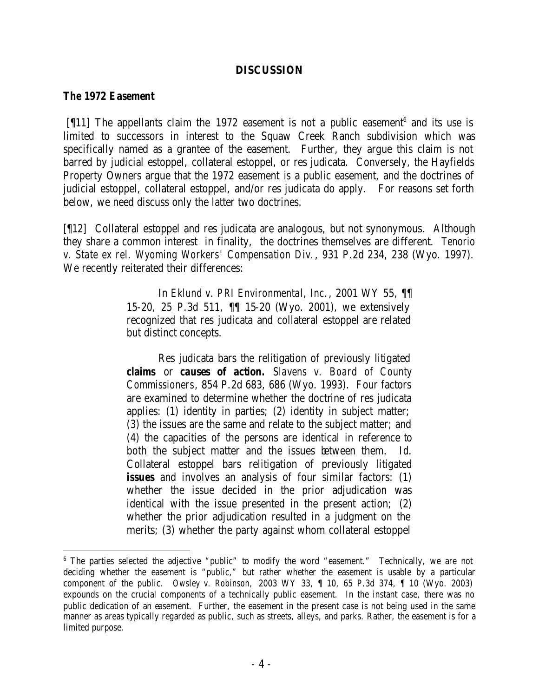#### **DISCUSSION**

#### *The 1972 Easement*

[ $[11]$ ] The appellants claim the 1972 easement is not a public easement<sup>6</sup> and its use is limited to successors in interest to the Squaw Creek Ranch subdivision which was specifically named as a grantee of the easement. Further, they argue this claim is not barred by judicial estoppel, collateral estoppel, or res judicata. Conversely, the Hayfields Property Owners argue that the 1972 easement *is* a public easement, and the doctrines of judicial estoppel, collateral estoppel, and/or res judicata do apply. For reasons set forth below, we need discuss only the latter two doctrines.

[¶12] Collateral estoppel and res judicata are analogous, but not synonymous. Although they share a common interest in finality, the doctrines themselves are different. *Tenorio v. State ex rel. Wyoming Workers' Compensation Div.*, 931 P.2d 234, 238 (Wyo. 1997). We recently reiterated their differences:

> In *Eklund v. PRI Environmental, Inc.*, 2001 WY 55, ¶¶ 15-20, 25 P.3d 511, ¶¶ 15-20 (Wyo. 2001), we extensively recognized that res judicata and collateral estoppel are related but distinct concepts.

> Res judicata bars the relitigation of previously litigated *claims* or *causes of action. Slavens v. Board of County Commissioners*, 854 P.2d 683, 686 (Wyo. 1993). Four factors are examined to determine whether the doctrine of res judicata applies: (1) identity in parties; (2) identity in subject matter; (3) the issues are the same and relate to the subject matter; and (4) the capacities of the persons are identical in reference to both the subject matter and the issues between them. *Id*. Collateral estoppel bars relitigation of previously litigated *issues* and involves an analysis of four similar factors: (1) whether the issue decided in the prior adjudication was identical with the issue presented in the present action; (2) whether the prior adjudication resulted in a judgment on the merits; (3) whether the party against whom collateral estoppel

<sup>&</sup>lt;sup>6</sup> The parties selected the adjective "public" to modify the word "easement." Technically, we are not deciding whether the easement is "public," but rather whether the easement is usable by a particular component of the public. *Owsley v. Robinson,* 2003 WY 33, ¶ 10, 65 P.3d 374, ¶ 10 (Wyo. 2003) expounds on the crucial components of a technically public easement. In the instant case, there was no public dedication of an easement. Further, the easement in the present case is not being used in the same manner as areas typically regarded as public, such as streets, alleys, and parks. Rather, the easement is for a limited purpose.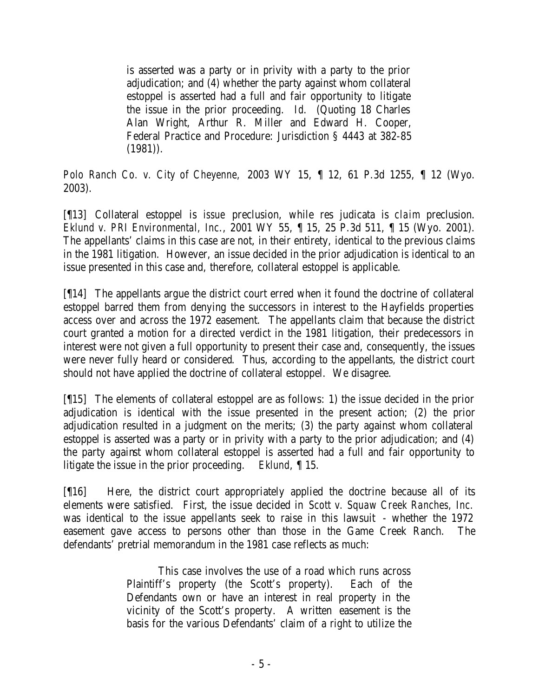is asserted was a party or in privity with a party to the prior adjudication; and (4) whether the party against whom collateral estoppel is asserted had a full and fair opportunity to litigate the issue in the prior proceeding. *Id*. (Quoting 18 Charles Alan Wright, Arthur R. Miller and Edward H. Cooper, Federal Practice and Procedure: Jurisdiction § 4443 at 382-85  $(1981)$ .

*Polo Ranch Co. v. City of Cheyenne,* 2003 WY 15, ¶ 12, 61 P.3d 1255, ¶ 12 (Wyo. 2003).

[¶13] Collateral estoppel is *issue* preclusion, while res judicata is *claim* preclusion. *Eklund v. PRI Environmental, Inc*., 2001 WY 55, ¶ 15, 25 P.3d 511, ¶ 15 (Wyo. 2001). The appellants' claims in this case are not, in their entirety, identical to the previous claims in the 1981 litigation. However, an issue decided in the prior adjudication is identical to an issue presented in this case and, therefore, collateral estoppel is applicable.

[¶14] The appellants argue the district court erred when it found the doctrine of collateral estoppel barred them from denying the successors in interest to the Hayfields properties access over and across the 1972 easement. The appellants claim that because the district court granted a motion for a directed verdict in the 1981 litigation, their predecessors in interest were not given a full opportunity to present their case and, consequently, the issues were never fully heard or considered. Thus, according to the appellants, the district court should not have applied the doctrine of collateral estoppel. We disagree.

[¶15] The elements of collateral estoppel are as follows: 1) the issue decided in the prior adjudication is identical with the issue presented in the present action; (2) the prior adjudication resulted in a judgment on the merits; (3) the party against whom collateral estoppel is asserted was a party or in privity with a party to the prior adjudication; and (4) the party against whom collateral estoppel is asserted had a full and fair opportunity to litigate the issue in the prior proceeding. *Eklund*, ¶ 15.

[¶16] Here, the district court appropriately applied the doctrine because all of its elements were satisfied. First, the issue decided in *Scott v. Squaw Creek Ranches, Inc.*  was identical to the issue appellants seek to raise in this lawsuit - whether the 1972 easement gave access to persons other than those in the Game Creek Ranch. The defendants' pretrial memorandum in the 1981 case reflects as much:

> This case involves the use of a road which runs across Plaintiff's property (the Scott's property). Each of the Defendants own or have an interest in real property in the vicinity of the Scott's property. A written easement is the basis for the various Defendants' claim of a right to utilize the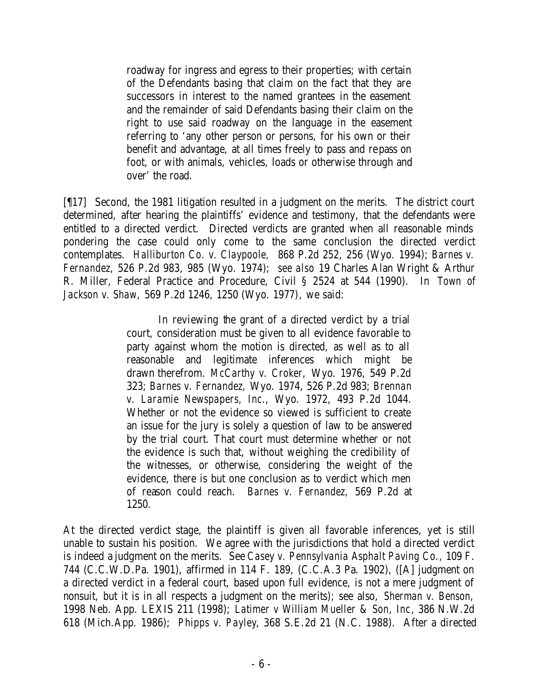roadway for ingress and egress to their properties; with certain of the Defendants basing that claim on the fact that they are successors in interest to the named grantees in the easement and the remainder of said Defendants basing their claim on the right to use said roadway on the language in the easement referring to 'any other person or persons, for his own or their benefit and advantage, at all times freely to pass and repass on foot, or with animals, vehicles, loads or otherwise through and over' the road.

[¶17] Second, the 1981 litigation resulted in a judgment on the merits. The district court determined, after hearing the plaintiffs' evidence and testimony, that the defendants were entitled to a directed verdict. Directed verdicts are granted when all reasonable minds pondering the case could only come to the same conclusion the directed verdict contemplates. *Halliburton Co. v. Claypoole,* 868 P.2d 252, 256 (Wyo. 1994); *Barnes v. Fernandez*, 526 P.2d 983, 985 (Wyo. 1974); *see also* 19 Charles Alan Wright & Arthur R. Miller, Federal Practice and Procedure, Civil § 2524 at 544 (1990). In *Town of Jackson v. Shaw,* 569 P.2d 1246, 1250 (Wyo. 1977)*,* we said:

> In reviewing the grant of a directed verdict by a trial court, consideration must be given to all evidence favorable to party against whom the motion is directed, as well as to all reasonable and legitimate inferences which might be drawn therefrom. *McCarthy v. Croker,* Wyo. 1976, 549 P.2d 323; *Barnes v. Fernandez,* Wyo. 1974, 526 P.2d 983; *Brennan v. Laramie Newspapers, Inc.*, Wyo. 1972, 493 P.2d 1044. Whether or not the evidence so viewed is sufficient to create an issue for the jury is solely a question of law to be answered by the trial court. That court must determine whether or not the evidence is such that, without weighing the credibility of the witnesses, or otherwise, considering the weight of the evidence, there is but one conclusion as to verdict which men of reason could reach. *Barnes v. Fernandez,* 569 P.2d at 1250.

At the directed verdict stage, the plaintiff is given all favorable inferences, yet is still unable to sustain his position. We agree with the jurisdictions that hold a directed verdict is indeed a judgment on the merits. See *Casey v. Pennsylvania Asphalt Paving Co.,* 109 F. 744 (C.C.W.D.Pa. 1901), affirmed in 114 F. 189, (C.C.A.3 Pa. 1902), ([A] judgment on a directed verdict in a federal court, based upon full evidence, is not a mere judgment of nonsuit, but it is in all respects a judgment on the merits); see also, *Sherman v. Benson,*  1998 Neb. App. LEXIS 211 (1998); *Latimer v William Mueller & Son, Inc*, 386 N.W.2d 618 (Mich.App. 1986); *Phipps v. Payley*, 368 S.E.2d 21 (N.C. 1988). After a directed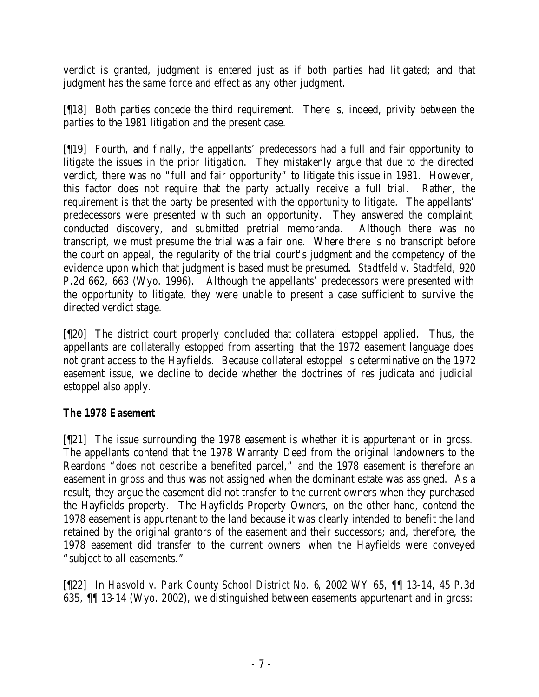verdict is granted, judgment is entered just as if both parties had litigated; and that judgment has the same force and effect as any other judgment.

[¶18] Both parties concede the third requirement. There is, indeed, privity between the parties to the 1981 litigation and the present case.

[¶19] Fourth, and finally, the appellants' predecessors had a full and fair opportunity to litigate the issues in the prior litigation. They mistakenly argue that due to the directed verdict, there was no "full and fair opportunity" to litigate this issue in 1981. However, this factor does not require that the party actually receive a full trial. Rather, the requirement is that the party be presented with the *opportunity to litigate.* The appellants' predecessors were presented with such an opportunity. They answered the complaint, conducted discovery, and submitted pretrial memoranda. Although there was no transcript, we must presume the trial was a fair one. Where there is no transcript before the court on appeal, the regularity of the trial court's judgment and the competency of the evidence upon which that judgment is based must be presumed**.** *Stadtfeld v. Stadtfeld,* 920 P.2d 662, 663 (Wyo. 1996). Although the appellants' predecessors were presented with the opportunity to litigate, they were unable to present a case sufficient to survive the directed verdict stage.

[¶20] The district court properly concluded that collateral estoppel applied. Thus, the appellants are collaterally estopped from asserting that the 1972 easement language does not grant access to the Hayfields. Because collateral estoppel is determinative on the 1972 easement issue, we decline to decide whether the doctrines of res judicata and judicial estoppel also apply.

### *The 1978 Easement*

[¶21] The issue surrounding the 1978 easement is whether it is appurtenant or in gross. The appellants contend that the 1978 Warranty Deed from the original landowners to the Reardons "does not describe a benefited parcel," and the 1978 easement is therefore an easement *in gross* and thus was not assigned when the dominant estate was assigned. As a result, they argue the easement did not transfer to the current owners when they purchased the Hayfields property. The Hayfields Property Owners, on the other hand, contend the 1978 easement is appurtenant to the land because it was clearly intended to benefit the land retained by the original grantors of the easement and their successors; and, therefore, the 1978 easement did transfer to the current owners when the Hayfields were conveyed "subject to all easements."

[¶22] In *Hasvold v. Park County School District No. 6*, 2002 WY 65, ¶¶ 13-14, 45 P.3d 635, ¶¶ 13-14 (Wyo. 2002), we distinguished between easements appurtenant and in gross: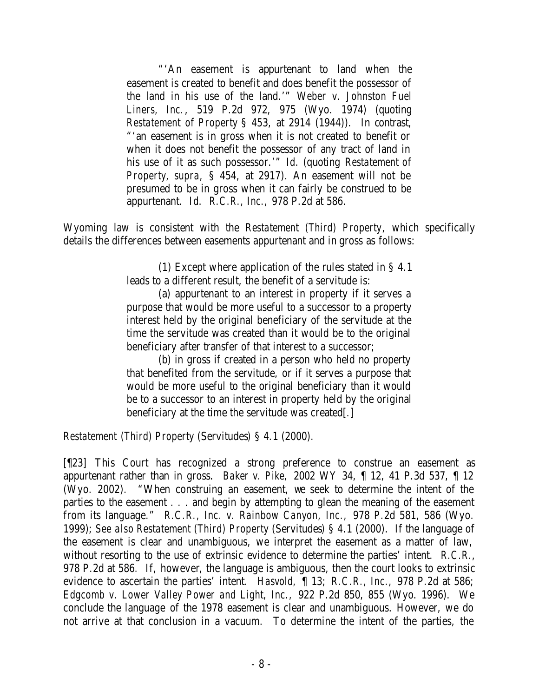"'An easement is appurtenant to land when the easement is created to benefit and does benefit the possessor of the land in his use of the land.'" W*eber v. Johnston Fuel Liners, Inc.*, 519 P.2d 972, 975 (Wyo. 1974) (quoting *Restatement of Property* § 453, at 2914 (1944)). In contrast, "'an easement is in gross when it is not created to benefit or when it does not benefit the possessor of any tract of land in his use of it as such possessor.'" *Id.* (quoting *Restatement of Property, supra,* § 454, at 2917). An easement will not be presumed to be in gross when it can fairly be construed to be appurtenant. *Id*. *R.C.R., Inc.,* 978 P.2d at 586.

Wyoming law is consistent with the *Restatement (Third) Property*, which specifically details the differences between easements appurtenant and in gross as follows:

> (1) Except where application of the rules stated in § 4.1 leads to a different result, the benefit of a servitude is:

> (a) appurtenant to an interest in property if it serves a purpose that would be more useful to a successor to a property interest held by the original beneficiary of the servitude at the time the servitude was created than it would be to the original beneficiary after transfer of that interest to a successor;

> (b) in gross if created in a person who held no property that benefited from the servitude, or if it serves a purpose that would be more useful to the original beneficiary than it would be to a successor to an interest in property held by the original beneficiary at the time the servitude was created[.]

*Restatement (Third) Property* (Servitudes*)* § 4.1 (2000).

[¶23] This Court has recognized a strong preference to construe an easement as appurtenant rather than in gross. *Baker v. Pike,* 2002 WY 34, ¶ 12, 41 P.3d 537, ¶ 12 (Wyo. 2002). "When construing an easement, we seek to determine the intent of the parties to the easement . . . and begin by attempting to glean the meaning of the easement from its language." *R.C.R., Inc. v. Rainbow Canyon, Inc.,* 978 P.2d 581, 586 (Wyo. 1999); *See also Restatement (Third) Property* (Servitudes*)* § 4.1 (2000). If the language of the easement is clear and unambiguous, we interpret the easement as a matter of law, without resorting to the use of extrinsic evidence to determine the parties' intent. *R.C.R.*, 978 P.2d at 586*.* If, however, the language is ambiguous, then the court looks to extrinsic evidence to ascertain the parties' intent. *Hasvold,* ¶ 13; *R.C.R., Inc.,* 978 P.2d at 586; *Edgcomb v. Lower Valley Power and Light, Inc.,* 922 P.2d 850, 855 (Wyo. 1996). We conclude the language of the 1978 easement is clear and unambiguous. However, we do not arrive at that conclusion in a vacuum. To determine the intent of the parties, the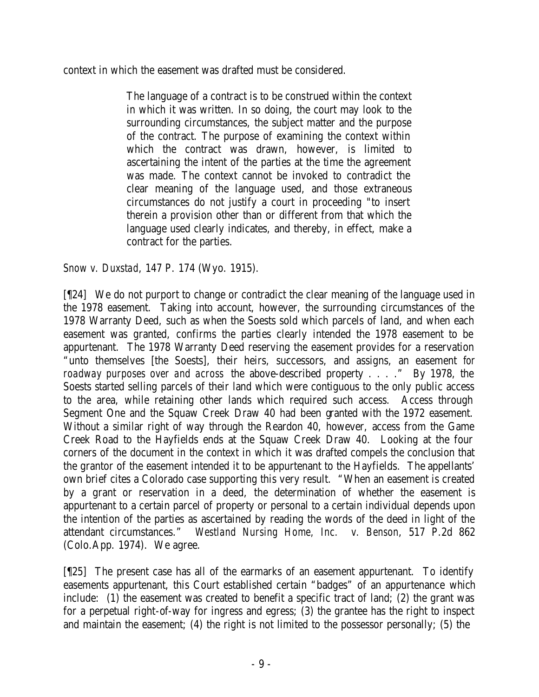context in which the easement was drafted must be considered.

The language of a contract is to be construed within the context in which it was written. In so doing, the court may look to the surrounding circumstances, the subject matter and the purpose of the contract. The purpose of examining the context within which the contract was drawn, however, is limited to ascertaining the intent of the parties at the time the agreement was made. The context cannot be invoked to contradict the clear meaning of the language used, and those extraneous circumstances do not justify a court in proceeding "to insert therein a provision other than or different from that which the language used clearly indicates, and thereby, in effect, make a contract for the parties.

*Snow v. Duxstad*, 147 P. 174 (Wyo. 1915).

[¶24] We do not purport to change or contradict the clear meaning of the language used in the 1978 easement. Taking into account, however, the surrounding circumstances of the 1978 Warranty Deed, such as when the Soests sold which parcels of land, and when each easement was granted, confirms the parties clearly intended the 1978 easement to be appurtenant. The 1978 Warranty Deed reserving the easement provides for a reservation "unto themselves [the Soests], their heirs, successors, and assigns, an easement *for roadway purposes over and across* the above-described property . . . ." By 1978, the Soests started selling parcels of their land which were contiguous to the only public access to the area, while retaining other lands which required such access. Access through Segment One and the Squaw Creek Draw 40 had been granted with the 1972 easement. Without a similar right of way through the Reardon 40, however, access from the Game Creek Road to the Hayfields ends at the Squaw Creek Draw 40. Looking at the four corners of the document in the context in which it was drafted compels the conclusion that the grantor of the easement intended it to be appurtenant to the Hayfields. The appellants' own brief cites a Colorado case supporting this very result. "When an easement is created by a grant or reservation in a deed, the determination of whether the easement is appurtenant to a certain parcel of property or personal to a certain individual depends upon the intention of the parties as ascertained by reading the words of the deed in light of the attendant circumstances." *Westland Nursing Home, Inc. v. Benson*, 517 P.2d 862 (Colo.App. 1974). We agree.

[¶25] The present case has all of the earmarks of an easement appurtenant. To identify easements appurtenant, this Court established certain "badges" of an appurtenance which include: (1) the easement was created to benefit a specific tract of land; (2) the grant was for a perpetual right-of-way for ingress and egress; (3) the grantee has the right to inspect and maintain the easement; (4) the right is not limited to the possessor personally; (5) the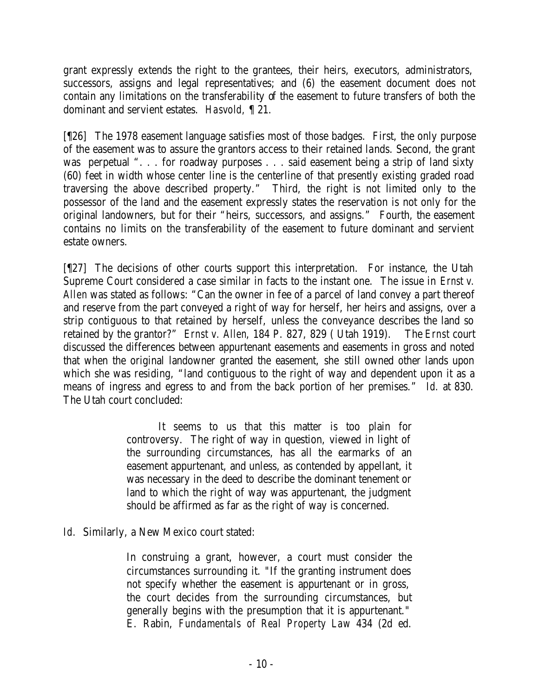grant expressly extends the right to the grantees, their heirs, executors, administrators, successors, assigns and legal representatives; and (6) the easement document does not contain any limitations on the transferability of the easement to future transfers of both the dominant and servient estates. *Hasvold,* ¶ 21.

[¶26] The 1978 easement language satisfies most of those badges. First, the only purpose of the easement was to assure the grantors access to their retained lands. Second, the grant was perpetual ". . . for roadway purposes . . . said easement being a strip of land sixty (60) feet in width whose center line is the centerline of that presently existing graded road traversing the above described property." Third, the right is not limited only to the possessor of the land and the easement expressly states the reservation is not only for the original landowners, but for their "heirs, successors, and assigns."Fourth, the easement contains no limits on the transferability of the easement to future dominant and servient estate owners.

[¶27] The decisions of other courts support this interpretation. For instance, the Utah Supreme Court considered a case similar in facts to the instant one. The issue in *Ernst v. Allen* was stated as follows: "Can the owner in fee of a parcel of land convey a part thereof and reserve from the part conveyed a right of way for herself, her heirs and assigns, over a strip contiguous to that retained by herself, unless the conveyance describes the land so retained by the grantor?" *Ernst v. Allen*, 184 P. 827, 829 ( Utah 1919). The *Ernst* court discussed the differences between appurtenant easements and easements in gross and noted that when the original landowner granted the easement, she still owned other lands upon which she was residing, "land contiguous to the right of way and dependent upon it as a means of ingress and egress to and from the back portion of her premises." *Id.* at 830. The Utah court concluded:

> It seems to us that this matter is too plain for controversy. The right of way in question, viewed in light of the surrounding circumstances, has all the earmarks of an easement appurtenant, and unless, as contended by appellant, it was necessary in the deed to describe the dominant tenement or land to which the right of way was appurtenant, the judgment should be affirmed as far as the right of way is concerned.

*Id.* Similarly, a New Mexico court stated:

In construing a grant, however, a court must consider the circumstances surrounding it. "If the granting instrument does not specify whether the easement is appurtenant or in gross, the court decides from the surrounding circumstances, but generally begins with the presumption that it is appurtenant." E. Rabin, *Fundamentals of Real Property Law* 434 (2d ed.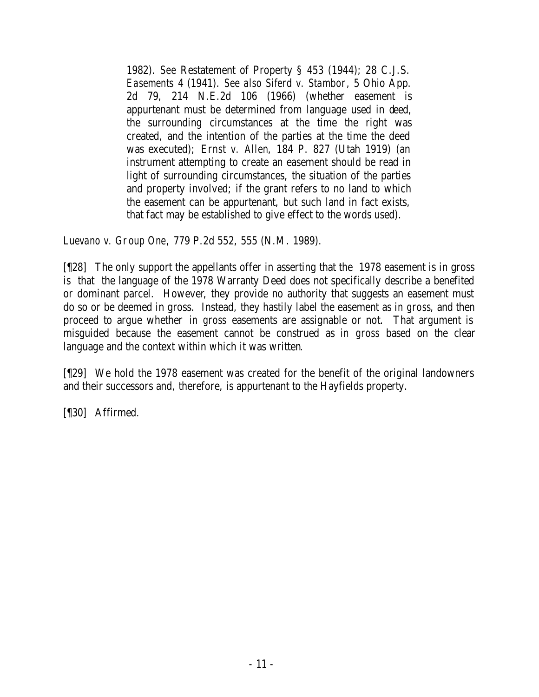1982). *See* Restatement of Property § 453 (1944); 28 C.J.S. *Easements* 4 (1941). *See also Siferd v. Stambor*, 5 Ohio App. 2d 79, 214 N.E.2d 106 (1966) (whether easement is appurtenant must be determined from language used in deed, the surrounding circumstances at the time the right was created, and the intention of the parties at the time the deed was executed); *Ernst v. Allen*, 184 P. 827 (Utah 1919) (an instrument attempting to create an easement should be read in light of surrounding circumstances, the situation of the parties and property involved; if the grant refers to no land to which the easement can be appurtenant, but such land in fact exists, that fact may be established to give effect to the words used).

*Luevano v. Group One*, 779 P.2d 552, 555 (N.M. 1989).

[¶28] The only support the appellants offer in asserting that the 1978 easement is in gross is that the language of the 1978 Warranty Deed does not specifically describe a benefited or dominant parcel. However, they provide no authority that suggests an easement must do so or be deemed in gross. Instead, they hastily label the easement as *in gross*, and then proceed to argue whether *in gross* easements are assignable or not. That argument is misguided because the easement cannot be construed as *in gross* based on the clear language and the context within which it was written*.*

[¶29] We hold the 1978 easement was created for the benefit of the original landowners and their successors and, therefore, is appurtenant to the Hayfields property.

[¶30] Affirmed.